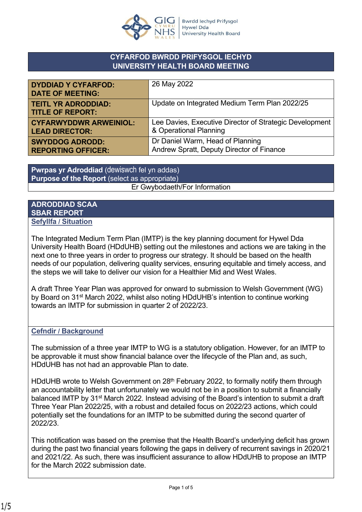

## **CYFARFOD BWRDD PRIFYSGOL IECHYD UNIVERSITY HEALTH BOARD MEETING**

| <b>DYDDIAD Y CYFARFOD:</b><br><b>DATE OF MEETING:</b> | 26 May 2022                                             |
|-------------------------------------------------------|---------------------------------------------------------|
| <b>TEITL YR ADRODDIAD:</b><br><b>TITLE OF REPORT:</b> | Update on Integrated Medium Term Plan 2022/25           |
| <b>CYFARWYDDWR ARWEINIOL:</b>                         | Lee Davies, Executive Director of Strategic Development |
| <b>LEAD DIRECTOR:</b>                                 | & Operational Planning                                  |
| <b>SWYDDOG ADRODD:</b>                                | Dr Daniel Warm, Head of Planning                        |
| <b>REPORTING OFFICER:</b>                             | Andrew Spratt, Deputy Director of Finance               |

**Pwrpas yr Adroddiad** (dewiswch fel yn addas) **Purpose of the Report** (select as appropriate) Er Gwybodaeth/For Information

## **ADRODDIAD SCAA SBAR REPORT Sefyllfa / Situation**

The Integrated Medium Term Plan (IMTP) is the key planning document for Hywel Dda University Health Board (HDdUHB) setting out the milestones and actions we are taking in the next one to three years in order to progress our strategy. It should be based on the health needs of our population, delivering quality services, ensuring equitable and timely access, and the steps we will take to deliver our vision for a Healthier Mid and West Wales.

A draft Three Year Plan was approved for onward to submission to Welsh Government (WG) by Board on 31st March 2022, whilst also noting HDdUHB's intention to continue working towards an IMTP for submission in quarter 2 of 2022/23.

## **Cefndir / Background**

The submission of a three year IMTP to WG is a statutory obligation. However, for an IMTP to be approvable it must show financial balance over the lifecycle of the Plan and, as such, HDdUHB has not had an approvable Plan to date.

HDdUHB wrote to Welsh Government on 28<sup>th</sup> February 2022, to formally notify them through an accountability letter that unfortunately we would not be in a position to submit a financially balanced IMTP by 31<sup>st</sup> March 2022. Instead advising of the Board's intention to submit a draft Three Year Plan 2022/25, with a robust and detailed focus on 2022/23 actions, which could potentially set the foundations for an IMTP to be submitted during the second quarter of 2022/23.

This notification was based on the premise that the Health Board's underlying deficit has grown during the past two financial years following the gaps in delivery of recurrent savings in 2020/21 and 2021/22. As such, there was insufficient assurance to allow HDdUHB to propose an IMTP for the March 2022 submission date.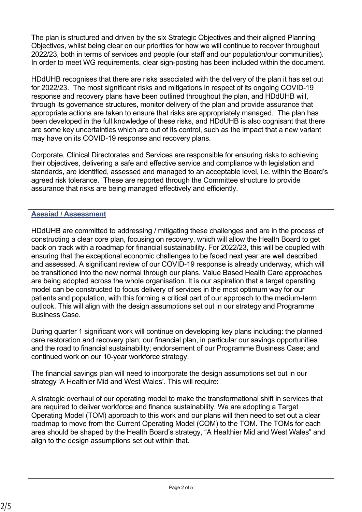The plan is structured and driven by the six Strategic Objectives and their aligned Planning Objectives, whilst being clear on our priorities for how we will continue to recover throughout 2022/23, both in terms of services and people (our staff and our population/our communities). In order to meet WG requirements, clear sign-posting has been included within the document.

HDdUHB recognises that there are risks associated with the delivery of the plan it has set out for 2022/23. The most significant risks and mitigations in respect of its ongoing COVID-19 response and recovery plans have been outlined throughout the plan, and HDdUHB will, through its governance structures, monitor delivery of the plan and provide assurance that appropriate actions are taken to ensure that risks are appropriately managed. The plan has been developed in the full knowledge of these risks, and HDdUHB is also cognisant that there are some key uncertainties which are out of its control, such as the impact that a new variant may have on its COVID-19 response and recovery plans.

Corporate, Clinical Directorates and Services are responsible for ensuring risks to achieving their objectives, delivering a safe and effective service and compliance with legislation and standards, are identified, assessed and managed to an acceptable level, i.e. within the Board's agreed risk tolerance. These are reported through the Committee structure to provide assurance that risks are being managed effectively and efficiently.

## **Asesiad / Assessment**

HDdUHB are committed to addressing / mitigating these challenges and are in the process of constructing a clear core plan, focusing on recovery, which will allow the Health Board to get back on track with a roadmap for financial sustainability. For 2022/23, this will be coupled with ensuring that the exceptional economic challenges to be faced next year are well described and assessed. A significant review of our COVID-19 response is already underway, which will be transitioned into the new normal through our plans. Value Based Health Care approaches are being adopted across the whole organisation. It is our aspiration that a target operating model can be constructed to focus delivery of services in the most optimum way for our patients and population, with this forming a critical part of our approach to the medium-term outlook. This will align with the design assumptions set out in our strategy and Programme Business Case.

During quarter 1 significant work will continue on developing key plans including: the planned care restoration and recovery plan; our financial plan, in particular our savings opportunities and the road to financial sustainability; endorsement of our Programme Business Case; and continued work on our 10-year workforce strategy.

The financial savings plan will need to incorporate the design assumptions set out in our strategy 'A Healthier Mid and West Wales'. This will require:

A strategic overhaul of our operating model to make the transformational shift in services that are required to deliver workforce and finance sustainability. We are adopting a Target Operating Model (TOM) approach to this work and our plans will then need to set out a clear roadmap to move from the Current Operating Model (COM) to the TOM. The TOMs for each area should be shaped by the Health Board's strategy, "A Healthier Mid and West Wales" and align to the design assumptions set out within that.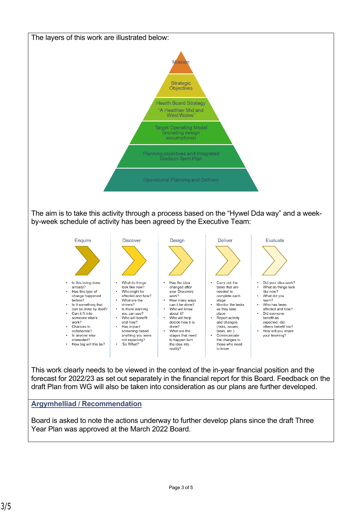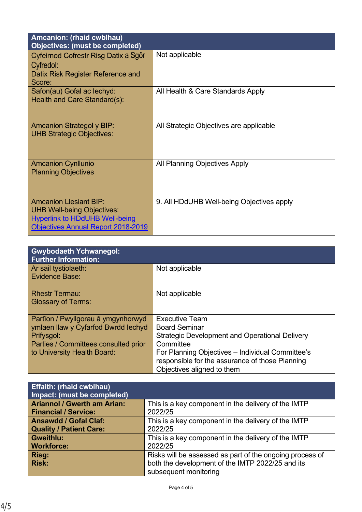| Amcanion: (rhaid cwblhau)<br><b>Objectives: (must be completed)</b>                                                                                      |                                           |
|----------------------------------------------------------------------------------------------------------------------------------------------------------|-------------------------------------------|
| Cyfeirnod Cofrestr Risg Datix a Sgôr<br>Cyfredol:<br>Datix Risk Register Reference and<br>Score:                                                         | Not applicable                            |
| Safon(au) Gofal ac lechyd:<br>Health and Care Standard(s):                                                                                               | All Health & Care Standards Apply         |
| <b>Amcanion Strategol y BIP:</b><br><b>UHB Strategic Objectives:</b>                                                                                     | All Strategic Objectives are applicable   |
| <b>Amcanion Cynllunio</b><br><b>Planning Objectives</b>                                                                                                  | All Planning Objectives Apply             |
| <b>Amcanion Llesiant BIP:</b><br><b>UHB Well-being Objectives:</b><br><b>Hyperlink to HDdUHB Well-being</b><br><b>Objectives Annual Report 2018-2019</b> | 9. All HDdUHB Well-being Objectives apply |

| <b>Gwybodaeth Ychwanegol:</b><br><b>Further Information:</b> |                                                       |
|--------------------------------------------------------------|-------------------------------------------------------|
| Ar sail tystiolaeth:                                         | Not applicable                                        |
| Evidence Base:                                               |                                                       |
| <b>Rhestr Termau:</b>                                        | Not applicable                                        |
| <b>Glossary of Terms:</b>                                    |                                                       |
|                                                              |                                                       |
| Partïon / Pwyllgorau â ymgynhorwyd                           | <b>Executive Team</b>                                 |
| ymlaen llaw y Cyfarfod Bwrdd Iechyd                          | <b>Board Seminar</b>                                  |
| Prifysgol:                                                   | <b>Strategic Development and Operational Delivery</b> |
| Parties / Committees consulted prior                         | Committee                                             |
| to University Health Board:                                  | For Planning Objectives - Individual Committee's      |
|                                                              | responsible for the assurance of those Planning       |
|                                                              | Objectives aligned to them                            |

| <b>Effaith: (rhaid cwblhau)</b><br>Impact: (must be completed) |                                                          |
|----------------------------------------------------------------|----------------------------------------------------------|
| <b>Ariannol / Gwerth am Arian:</b>                             | This is a key component in the delivery of the IMTP      |
| <b>Financial / Service:</b>                                    | 2022/25                                                  |
| <b>Ansawdd / Gofal Claf:</b>                                   | This is a key component in the delivery of the IMTP      |
| <b>Quality / Patient Care:</b>                                 | 2022/25                                                  |
| <b>Gweithlu:</b>                                               | This is a key component in the delivery of the IMTP      |
| <b>Workforce:</b>                                              | 2022/25                                                  |
| Risg:                                                          | Risks will be assessed as part of the ongoing process of |
| <b>Risk:</b>                                                   | both the development of the IMTP 2022/25 and its         |
|                                                                | subsequent monitoring                                    |